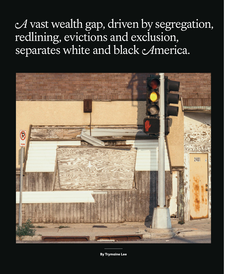## A vast wealth gap, driven by segregation, redlining, evictions and exclusion, separates white and black America.